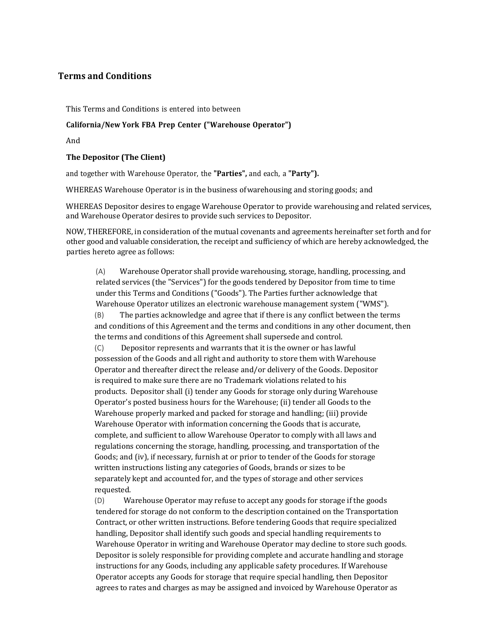## **Terms and Conditions**

This Terms and Conditions is entered into between

## **California/New York FBA Prep Center ("Warehouse Operator")**

And 

## **The Depositor (The Client)**

and together with Warehouse Operator, the **"Parties",** and each, a **"Party").**

WHEREAS Warehouse Operator is in the business of warehousing and storing goods; and

WHEREAS Depositor desires to engage Warehouse Operator to provide warehousing and related services, and Warehouse Operator desires to provide such services to Depositor.

NOW, THEREFORE, in consideration of the mutual covenants and agreements hereinafter set forth and for other good and valuable consideration, the receipt and sufficiency of which are hereby acknowledged, the parties hereto agree as follows:

(A) Warehouse Operator shall provide warehousing, storage, handling, processing, and related services (the "Services") for the goods tendered by Depositor from time to time under this Terms and Conditions ("Goods"). The Parties further acknowledge that Warehouse Operator utilizes an electronic warehouse management system ("WMS"). (B) The parties acknowledge and agree that if there is any conflict between the terms

and conditions of this Agreement and the terms and conditions in any other document, then the terms and conditions of this Agreement shall supersede and control.

 $(C)$  Depositor represents and warrants that it is the owner or has lawful possession of the Goods and all right and authority to store them with Warehouse Operator and thereafter direct the release and/or delivery of the Goods. Depositor is required to make sure there are no Trademark violations related to his products. Depositor shall (i) tender any Goods for storage only during Warehouse Operator's posted business hours for the Warehouse; (ii) tender all Goods to the Warehouse properly marked and packed for storage and handling; (iii) provide Warehouse Operator with information concerning the Goods that is accurate, complete, and sufficient to allow Warehouse Operator to comply with all laws and regulations concerning the storage, handling, processing, and transportation of the Goods; and (iv), if necessary, furnish at or prior to tender of the Goods for storage written instructions listing any categories of Goods, brands or sizes to be separately kept and accounted for, and the types of storage and other services requested.

(D) Warehouse Operator may refuse to accept any goods for storage if the goods tendered for storage do not conform to the description contained on the Transportation Contract, or other written instructions. Before tendering Goods that require specialized handling, Depositor shall identify such goods and special handling requirements to Warehouse Operator in writing and Warehouse Operator may decline to store such goods. Depositor is solely responsible for providing complete and accurate handling and storage instructions for any Goods, including any applicable safety procedures. If Warehouse Operator accepts any Goods for storage that require special handling, then Depositor agrees to rates and charges as may be assigned and invoiced by Warehouse Operator as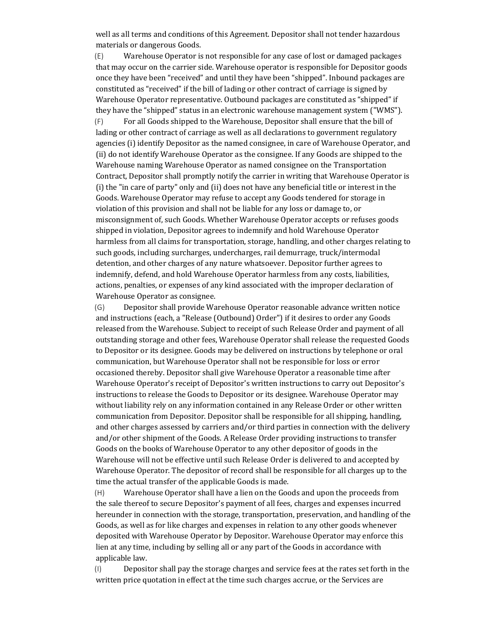well as all terms and conditions of this Agreement. Depositor shall not tender hazardous materials or dangerous Goods.

 $(E)$  Warehouse Operator is not responsible for any case of lost or damaged packages that may occur on the carrier side. Warehouse operator is responsible for Depositor goods once they have been "received" and until they have been "shipped". Inbound packages are constituted as "received" if the bill of lading or other contract of carriage is signed by Warehouse Operator representative. Outbound packages are constituted as "shipped" if they have the "shipped" status in an electronic warehouse management system ("WMS"). (F) For all Goods shipped to the Warehouse, Depositor shall ensure that the bill of lading or other contract of carriage as well as all declarations to government regulatory agencies (i) identify Depositor as the named consignee, in care of Warehouse Operator, and (ii) do not identify Warehouse Operator as the consignee. If any Goods are shipped to the Warehouse naming Warehouse Operator as named consignee on the Transportation Contract, Depositor shall promptly notify the carrier in writing that Warehouse Operator is (i) the "in care of party" only and (ii) does not have any beneficial title or interest in the Goods. Warehouse Operator may refuse to accept any Goods tendered for storage in violation of this provision and shall not be liable for any loss or damage to, or misconsignment of, such Goods. Whether Warehouse Operator accepts or refuses goods shipped in violation, Depositor agrees to indemnify and hold Warehouse Operator harmless from all claims for transportation, storage, handling, and other charges relating to such goods, including surcharges, undercharges, rail demurrage, truck/intermodal detention, and other charges of any nature whatsoever. Depositor further agrees to indemnify, defend, and hold Warehouse Operator harmless from any costs, liabilities, actions, penalties, or expenses of any kind associated with the improper declaration of Warehouse Operator as consignee.

(G) Depositor shall provide Warehouse Operator reasonable advance written notice and instructions (each, a "Release (Outbound) Order") if it desires to order any Goods released from the Warehouse. Subject to receipt of such Release Order and payment of all outstanding storage and other fees. Warehouse Operator shall release the requested Goods to Depositor or its designee. Goods may be delivered on instructions by telephone or oral communication, but Warehouse Operator shall not be responsible for loss or error occasioned thereby. Depositor shall give Warehouse Operator a reasonable time after Warehouse Operator's receipt of Depositor's written instructions to carry out Depositor's instructions to release the Goods to Depositor or its designee. Warehouse Operator may without liability rely on any information contained in any Release Order or other written communication from Depositor. Depositor shall be responsible for all shipping, handling, and other charges assessed by carriers and/or third parties in connection with the delivery and/or other shipment of the Goods. A Release Order providing instructions to transfer Goods on the books of Warehouse Operator to any other depositor of goods in the Warehouse will not be effective until such Release Order is delivered to and accepted by Warehouse Operator. The depositor of record shall be responsible for all charges up to the time the actual transfer of the applicable Goods is made.

(H) Warehouse Operator shall have a lien on the Goods and upon the proceeds from the sale thereof to secure Depositor's payment of all fees, charges and expenses incurred hereunder in connection with the storage, transportation, preservation, and handling of the Goods, as well as for like charges and expenses in relation to any other goods whenever deposited with Warehouse Operator by Depositor. Warehouse Operator may enforce this lien at any time, including by selling all or any part of the Goods in accordance with applicable law.

(I) Depositor shall pay the storage charges and service fees at the rates set forth in the written price quotation in effect at the time such charges accrue, or the Services are